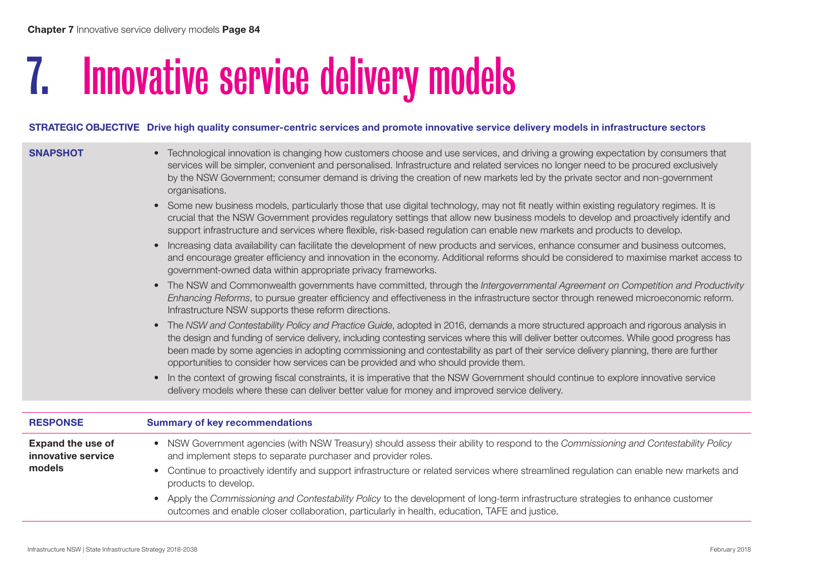# 7. Innovative service delivery models

and implement steps to separate purchaser and provider roles.

products to develop.

#### STRATEGIC OBJECTIVE Drive high quality consumer-centric services and promote innovative service delivery models in infrastructure sectors

| <b>Expand the use of</b> | NSW Government agencies (with NSW Treasury) should assess their ability to respond to the Commissioning and Contestability Policy<br>$\bullet$                                                                                                                                                                                                                                                                                                                                                                                |
|--------------------------|-------------------------------------------------------------------------------------------------------------------------------------------------------------------------------------------------------------------------------------------------------------------------------------------------------------------------------------------------------------------------------------------------------------------------------------------------------------------------------------------------------------------------------|
| <b>RESPONSE</b>          | <b>Summary of key recommendations</b>                                                                                                                                                                                                                                                                                                                                                                                                                                                                                         |
|                          |                                                                                                                                                                                                                                                                                                                                                                                                                                                                                                                               |
|                          | In the context of growing fiscal constraints, it is imperative that the NSW Government should continue to explore innovative service<br>$\bullet$<br>delivery models where these can deliver better value for money and improved service delivery.                                                                                                                                                                                                                                                                            |
|                          | The NSW and Contestability Policy and Practice Guide, adopted in 2016, demands a more structured approach and rigorous analysis in<br>$\bullet$<br>the design and funding of service delivery, including contesting services where this will deliver better outcomes. While good progress has<br>been made by some agencies in adopting commissioning and contestability as part of their service delivery planning, there are further<br>opportunities to consider how services can be provided and who should provide them. |
|                          | The NSW and Commonwealth governments have committed, through the Intergovernmental Agreement on Competition and Productivity<br>$\bullet$<br>Enhancing Reforms, to pursue greater efficiency and effectiveness in the infrastructure sector through renewed microeconomic reform.<br>Infrastructure NSW supports these reform directions.                                                                                                                                                                                     |
|                          | Increasing data availability can facilitate the development of new products and services, enhance consumer and business outcomes,<br>$\bullet$<br>and encourage greater efficiency and innovation in the economy. Additional reforms should be considered to maximise market access to<br>government-owned data within appropriate privacy frameworks.                                                                                                                                                                        |
|                          | Some new business models, particularly those that use digital technology, may not fit neatly within existing regulatory regimes. It is<br>$\bullet$<br>crucial that the NSW Government provides regulatory settings that allow new business models to develop and proactively identify and<br>support infrastructure and services where flexible, risk-based regulation can enable new markets and products to develop.                                                                                                       |
|                          | Technological innovation is changing how customers choose and use services, and driving a growing expectation by consumers that<br>services will be simpler, convenient and personalised. Infrastructure and related services no longer need to be procured exclusively<br>by the NSW Government; consumer demand is driving the creation of new markets led by the private sector and non-government<br>organisations.                                                                                                       |
| <b>SNAPSHOT</b>          |                                                                                                                                                                                                                                                                                                                                                                                                                                                                                                                               |

outcomes and enable closer collaboration, particularly in health, education, TAFE and justice.

• Continue to proactively identify and support infrastructure or related services where streamlined regulation can enable new markets and

• Apply the *Commissioning and Contestability Policy* to the development of long-term infrastructure strategies to enhance customer

innovative service

models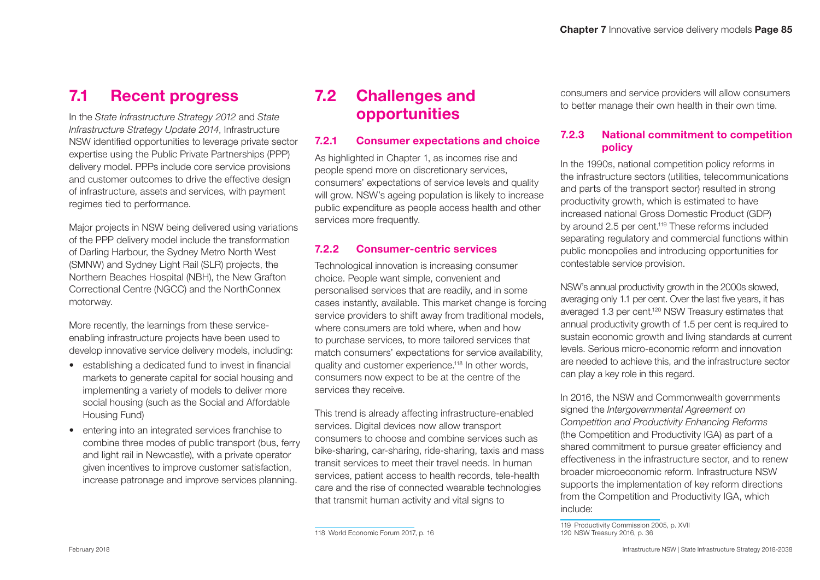### 7.1 Recent progress

In the *State Infrastructure Strategy 2012* and *State Infrastructure Strategy Update 2014*, Infrastructure NSW identified opportunities to leverage private sector expertise using the Public Private Partnerships (PPP) delivery model. PPPs include core service provisions and customer outcomes to drive the effective design of infrastructure, assets and services, with payment regimes tied to performance.

Major projects in NSW being delivered using variations of the PPP delivery model include the transformation of Darling Harbour, the Sydney Metro North West (SMNW) and Sydney Light Rail (SLR) projects, the Northern Beaches Hospital (NBH), the New Grafton Correctional Centre (NGCC) and the NorthConnex motorway.

More recently, the learnings from these serviceenabling infrastructure projects have been used to develop innovative service delivery models, including:

- establishing a dedicated fund to invest in financial markets to generate capital for social housing and implementing a variety of models to deliver more social housing (such as the Social and Affordable Housing Fund)
- entering into an integrated services franchise to combine three modes of public transport (bus, ferry and light rail in Newcastle), with a private operator given incentives to improve customer satisfaction, increase patronage and improve services planning.

## 7.2 Challenges and opportunities

#### 7.2.1 Consumer expectations and choice

As highlighted in Chapter 1, as incomes rise and people spend more on discretionary services, consumers' expectations of service levels and quality will grow. NSW's ageing population is likely to increase public expenditure as people access health and other services more frequently.

#### 7.2.2 Consumer-centric services

Technological innovation is increasing consumer choice. People want simple, convenient and personalised services that are readily, and in some cases instantly, available. This market change is forcing service providers to shift away from traditional models, where consumers are told where, when and how to purchase services, to more tailored services that match consumers' expectations for service availability, quality and customer experience.118 In other words, consumers now expect to be at the centre of the services they receive.

This trend is already affecting infrastructure-enabled services. Digital devices now allow transport consumers to choose and combine services such as bike-sharing, car-sharing, ride-sharing, taxis and mass transit services to meet their travel needs. In human services, patient access to health records, tele-health care and the rise of connected wearable technologies that transmit human activity and vital signs to

consumers and service providers will allow consumers to better manage their own health in their own time.

#### 7.2.3 National commitment to competition policy

In the 1990s, national competition policy reforms in the infrastructure sectors (utilities, telecommunications and parts of the transport sector) resulted in strong productivity growth, which is estimated to have increased national Gross Domestic Product (GDP) by around 2.5 per cent.119 These reforms included separating regulatory and commercial functions within public monopolies and introducing opportunities for contestable service provision.

NSW's annual productivity growth in the 2000s slowed, averaging only 1.1 per cent. Over the last five years, it has averaged 1.3 per cent.<sup>120</sup> NSW Treasury estimates that annual productivity growth of 1.5 per cent is required to sustain economic growth and living standards at current levels. Serious micro-economic reform and innovation are needed to achieve this, and the infrastructure sector can play a key role in this regard.

In 2016, the NSW and Commonwealth governments signed the *Intergovernmental Agreement on Competition and Productivity Enhancing Reforms*  (the Competition and Productivity IGA) as part of a shared commitment to pursue greater efficiency and effectiveness in the infrastructure sector, and to renew broader microeconomic reform. Infrastructure NSW supports the implementation of key reform directions from the Competition and Productivity IGA, which include:

<sup>118</sup> World Economic Forum 2017, p. 16

<sup>119</sup> Productivity Commission 2005, p. XVII 120 NSW Treasury 2016, p. 36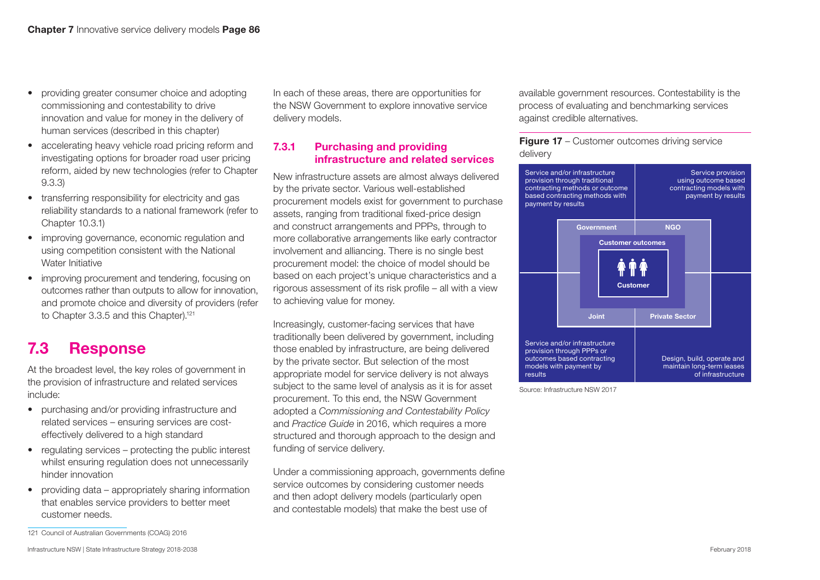- providing greater consumer choice and adopting commissioning and contestability to drive innovation and value for money in the delivery of human services (described in this chapter)
- accelerating heavy vehicle road pricing reform and investigating options for broader road user pricing reform, aided by new technologies (refer to Chapter 9.3.3)
- transferring responsibility for electricity and gas reliability standards to a national framework (refer to Chapter 10.3.1)
- improving governance, economic regulation and using competition consistent with the National Water Initiative
- improving procurement and tendering, focusing on outcomes rather than outputs to allow for innovation, and promote choice and diversity of providers (refer to Chapter 3.3.5 and this Chapter).<sup>121</sup>

## 7.3 Response

At the broadest level, the key roles of government in the provision of infrastructure and related services include:

- purchasing and/or providing infrastructure and related services – ensuring services are costeffectively delivered to a high standard
- regulating services protecting the public interest whilst ensuring regulation does not unnecessarily hinder innovation
- providing data appropriately sharing information that enables service providers to better meet customer needs.

In each of these areas, there are opportunities for the NSW Government to explore innovative service delivery models.

#### 7.3.1 Purchasing and providing infrastructure and related services

New infrastructure assets are almost always delivered by the private sector. Various well-established procurement models exist for government to purchase assets, ranging from traditional fixed-price design and construct arrangements and PPPs, through to more collaborative arrangements like early contractor involvement and alliancing. There is no single best procurement model: the choice of model should be based on each project's unique characteristics and a rigorous assessment of its risk profile – all with a view to achieving value for money.

Increasingly, customer-facing services that have traditionally been delivered by government, including those enabled by infrastructure, are being delivered by the private sector. But selection of the most appropriate model for service delivery is not always subject to the same level of analysis as it is for asset procurement. To this end, the NSW Government adopted a *Commissioning and Contestability Policy* and *Practice Guide* in 2016, which requires a more structured and thorough approach to the design and funding of service delivery.

Under a commissioning approach, governments define service outcomes by considering customer needs and then adopt delivery models (particularly open and contestable models) that make the best use of

available government resources. Contestability is the process of evaluating and benchmarking services against credible alternatives.

**Figure 17** – Customer outcomes driving service delivery



Source: Infrastructure NSW 2017

<sup>121</sup> Council of Australian Governments (COAG) 2016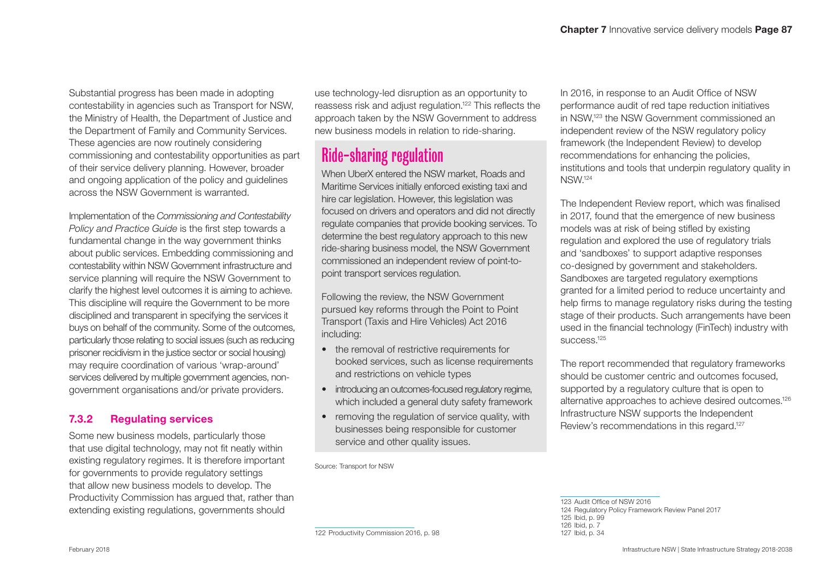Substantial progress has been made in adopting contestability in agencies such as Transport for NSW, the Ministry of Health, the Department of Justice and the Department of Family and Community Services. These agencies are now routinely considering commissioning and contestability opportunities as part of their service delivery planning. However, broader and ongoing application of the policy and guidelines across the NSW Government is warranted.

Implementation of the *Commissioning and Contestability Policy and Practice Guide* is the first step towards a fundamental change in the way government thinks about public services. Embedding commissioning and contestability within NSW Government infrastructure and service planning will require the NSW Government to clarify the highest level outcomes it is aiming to achieve. This discipline will require the Government to be more disciplined and transparent in specifying the services it buys on behalf of the community. Some of the outcomes, particularly those relating to social issues (such as reducing prisoner recidivism in the justice sector or social housing) may require coordination of various 'wrap-around' services delivered by multiple government agencies, nongovernment organisations and/or private providers.

#### 7.3.2 Regulating services

Some new business models, particularly those that use digital technology, may not fit neatly within existing regulatory regimes. It is therefore important for governments to provide regulatory settings that allow new business models to develop. The Productivity Commission has argued that, rather than extending existing regulations, governments should

use technology-led disruption as an opportunity to reassess risk and adjust regulation.122 This reflects the approach taken by the NSW Government to address new business models in relation to ride-sharing.

# Ride-sharing regulation

When UberX entered the NSW market, Roads and Maritime Services initially enforced existing taxi and hire car legislation. However, this legislation was focused on drivers and operators and did not directly regulate companies that provide booking services. To determine the best regulatory approach to this new ride-sharing business model, the NSW Government commissioned an independent review of point-topoint transport services regulation.

Following the review, the NSW Government pursued key reforms through the Point to Point Transport (Taxis and Hire Vehicles) Act 2016 including:

- the removal of restrictive requirements for booked services, such as license requirements and restrictions on vehicle types
- introducing an outcomes-focused regulatory regime, which included a general duty safety framework
- removing the regulation of service quality, with businesses being responsible for customer service and other quality issues.

Source: Transport for NSW

In 2016, in response to an Audit Office of NSW performance audit of red tape reduction initiatives in NSW,123 the NSW Government commissioned an independent review of the NSW regulatory policy framework (the Independent Review) to develop recommendations for enhancing the policies, institutions and tools that underpin regulatory quality in NSW.124

The Independent Review report, which was finalised in 2017, found that the emergence of new business models was at risk of being stifled by existing regulation and explored the use of regulatory trials and 'sandboxes' to support adaptive responses co-designed by government and stakeholders. Sandboxes are targeted regulatory exemptions granted for a limited period to reduce uncertainty and help firms to manage regulatory risks during the testing stage of their products. Such arrangements have been used in the financial technology (FinTech) industry with success.125

The report recommended that regulatory frameworks should be customer centric and outcomes focused, supported by a regulatory culture that is open to alternative approaches to achieve desired outcomes.126 Infrastructure NSW supports the Independent Review's recommendations in this regard.<sup>127</sup>

 Audit Office of NSW 2016 Regulatory Policy Framework Review Panel 2017 Ibid, p. 99 Ibid, p. 7 Ibid, p. 34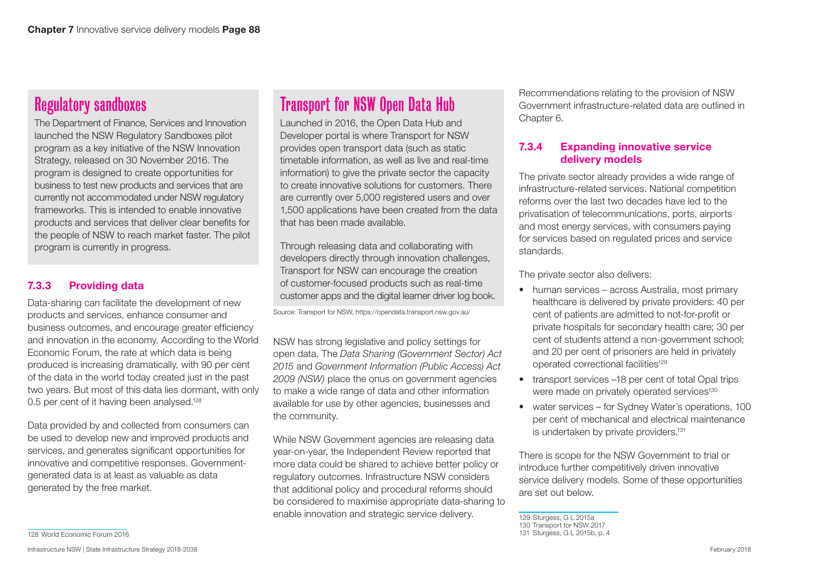## Regulatory sandboxes

The Department of Finance, Services and Innovation launched the NSW Regulatory Sandboxes pilot program as a key initiative of the NSW Innovation Strategy, released on 30 November 2016. The program is designed to create opportunities for business to test new products and services that are currently not accommodated under NSW regulatory frameworks. This is intended to enable innovative products and services that deliver clear benefits for the people of NSW to reach market faster. The pilot program is currently in progress.

#### 7.3.3 Providing data

Data-sharing can facilitate the development of new products and services, enhance consumer and business outcomes, and encourage greater efficiency and innovation in the economy. According to the World Economic Forum, the rate at which data is being produced is increasing dramatically, with 90 per cent of the data in the world today created just in the past two years. But most of this data lies dormant, with only 0.5 per cent of it having been analysed.<sup>128</sup>

Data provided by and collected from consumers can be used to develop new and improved products and services, and generates significant opportunities for innovative and competitive responses. Governmentgenerated data is at least as valuable as data generated by the free market.

#### 128 World Economic Forum 2016

Infrastructure NSW | State Infrastructure Strategy 2018-2038 February 2018

# Transport for NSW Open Data Hub

Launched in 2016, the Open Data Hub and Developer portal is where Transport for NSW provides open transport data (such as static timetable information, as well as live and real-time information) to give the private sector the capacity to create innovative solutions for customers. There are currently over 5,000 registered users and over 1,500 applications have been created from the data that has been made available.

Through releasing data and collaborating with developers directly through innovation challenges, Transport for NSW can encourage the creation of customer-focused products such as real-time customer apps and the digital learner driver log book.

Source: Transport for NSW,<https://opendata.transport.nsw.gov.au/>

NSW has strong legislative and policy settings for open data. The *Data Sharing (Government Sector) Act 2015* and *Government Information (Public Access) Act 2009 (NSW)* place the onus on government agencies to make a wide range of data and other information available for use by other agencies, businesses and the community.

While NSW Government agencies are releasing data year-on-year, the Independent Review reported that more data could be shared to achieve better policy or regulatory outcomes. Infrastructure NSW considers that additional policy and procedural reforms should be considered to maximise appropriate data-sharing to enable innovation and strategic service delivery.

Recommendations relating to the provision of NSW Government infrastructure-related data are outlined in Chapter 6.

#### 7.3.4 Expanding innovative service delivery models

The private sector already provides a wide range of infrastructure-related services. National competition reforms over the last two decades have led to the privatisation of telecommunications, ports, airports and most energy services, with consumers paying for services based on regulated prices and service standards.

The private sector also delivers:

- human services across Australia, most primary healthcare is delivered by private providers: 40 per cent of patients are admitted to not-for-profit or private hospitals for secondary health care; 30 per cent of students attend a non-government school; and 20 per cent of prisoners are held in privately operated correctional facilities129
- transport services –18 per cent of total Opal trips were made on privately operated services<sup>130</sup>
- water services for Sydney Water's operations, 100 per cent of mechanical and electrical maintenance is undertaken by private providers.<sup>131</sup>

There is scope for the NSW Government to trial or introduce further competitively driven innovative service delivery models. Some of these opportunities are set out below.

129 Sturgess, G L 2015a

<sup>130</sup> Transport for NSW 2017

<sup>131</sup> Sturgess, G L 2015b, p. 4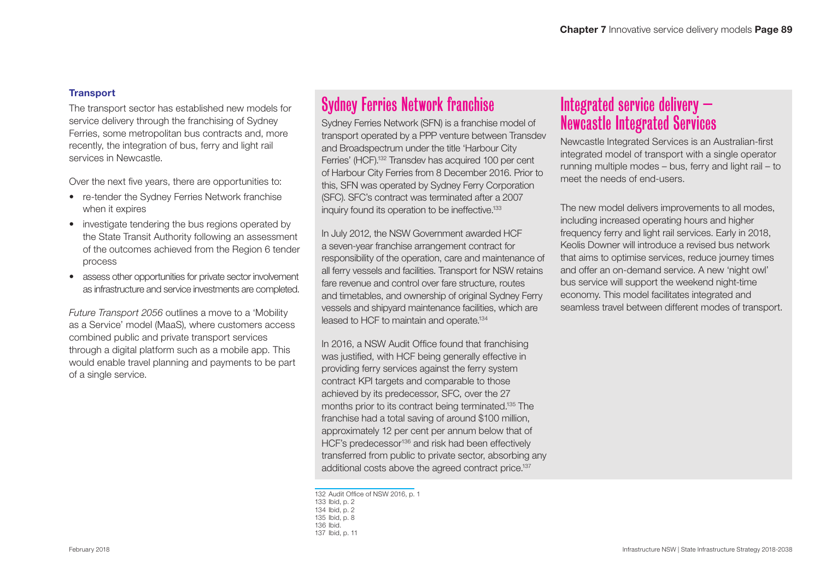#### **Transport**

The transport sector has established new models for service delivery through the franchising of Sydney Ferries, some metropolitan bus contracts and, more recently, the integration of bus, ferry and light rail services in Newcastle.

Over the next five years, there are opportunities to:

- re-tender the Sydney Ferries Network franchise when it expires
- investigate tendering the bus regions operated by the State Transit Authority following an assessment of the outcomes achieved from the Region 6 tender process
- assess other opportunities for private sector involvement as infrastructure and service investments are completed.

*Future Transport 2056* outlines a move to a 'Mobility as a Service' model (MaaS), where customers access combined public and private transport services through a digital platform such as a mobile app. This would enable travel planning and payments to be part of a single service.

# Sydney Ferries Network franchise

Sydney Ferries Network (SFN) is a franchise model of transport operated by a PPP venture between Transdev and Broadspectrum under the title 'Harbour City Ferries' (HCF).132 Transdev has acquired 100 per cent of Harbour City Ferries from 8 December 2016. Prior to this, SFN was operated by Sydney Ferry Corporation (SFC). SFC's contract was terminated after a 2007 inquiry found its operation to be ineffective.<sup>133</sup>

all ferry vessels and facilities. Transport for NSW retains In July 2012, the NSW Government awarded HCF a seven-year franchise arrangement contract for responsibility of the operation, care and maintenance of fare revenue and control over fare structure, routes and timetables, and ownership of original Sydney Ferry vessels and shipyard maintenance facilities, which are leased to HCF to maintain and operate.134

In 2016, a NSW Audit Office found that franchising was justified, with HCF being generally effective in providing ferry services against the ferry system contract KPI targets and comparable to those achieved by its predecessor, SFC, over the 27 months prior to its contract being terminated.135 The franchise had a total saving of around \$100 million, approximately 12 per cent per annum below that of HCF's predecessor<sup>136</sup> and risk had been effectively transferred from public to private sector, absorbing any additional costs above the agreed contract price.<sup>137</sup>

 Audit Office of NSW 2016, p. 1 Ibid, p. 2 Ibid, p. 2 Ibid, p. 8 136 Ibid. Ibid, p. 11

## Integrated service delivery – Newcastle Integrated Services

Newcastle Integrated Services is an Australian-first integrated model of transport with a single operator running multiple modes – bus, ferry and light rail – to meet the needs of end-users.

The new model delivers improvements to all modes, including increased operating hours and higher frequency ferry and light rail services. Early in 2018, Keolis Downer will introduce a revised bus network that aims to optimise services, reduce journey times and offer an on-demand service. A new 'night owl' bus service will support the weekend night-time economy. This model facilitates integrated and seamless travel between different modes of transport.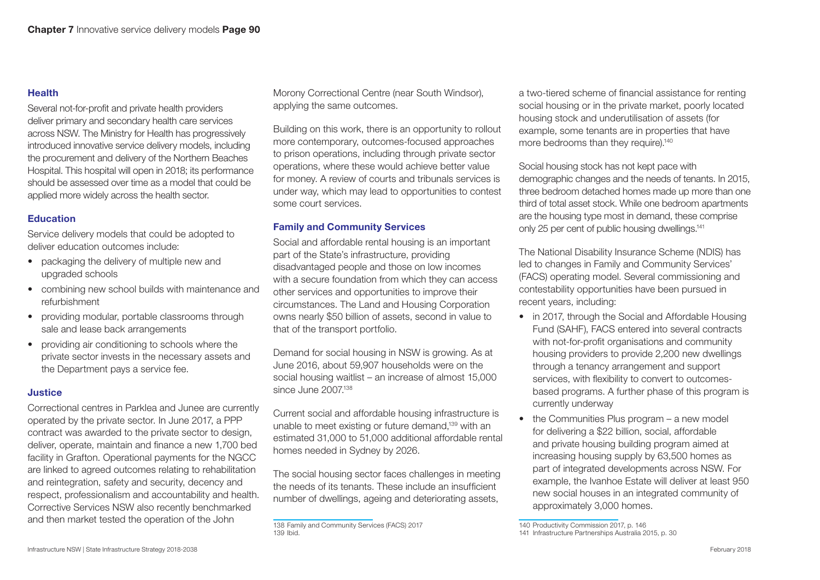#### Health

Several not-for-profit and private health providers deliver primary and secondary health care services across NSW. The Ministry for Health has progressively introduced innovative service delivery models, including the procurement and delivery of the Northern Beaches Hospital. This hospital will open in 2018; its performance should be assessed over time as a model that could be applied more widely across the health sector.

#### Education

Service delivery models that could be adopted to deliver education outcomes include:

- packaging the delivery of multiple new and upgraded schools
- combining new school builds with maintenance and refurbishment
- providing modular, portable classrooms through sale and lease back arrangements
- providing air conditioning to schools where the private sector invests in the necessary assets and the Department pays a service fee.

#### Justice

Correctional centres in Parklea and Junee are currently operated by the private sector. In June 2017, a PPP contract was awarded to the private sector to design, deliver, operate, maintain and finance a new 1,700 bed facility in Grafton. Operational payments for the NGCC are linked to agreed outcomes relating to rehabilitation and reintegration, safety and security, decency and respect, professionalism and accountability and health. Corrective Services NSW also recently benchmarked and then market tested the operation of the John

Morony Correctional Centre (near South Windsor), applying the same outcomes.

Building on this work, there is an opportunity to rollout more contemporary, outcomes-focused approaches to prison operations, including through private sector operations, where these would achieve better value for money. A review of courts and tribunals services is under way, which may lead to opportunities to contest some court services.

#### Family and Community Services

Social and affordable rental housing is an important part of the State's infrastructure, providing disadvantaged people and those on low incomes with a secure foundation from which they can access other services and opportunities to improve their circumstances. The Land and Housing Corporation owns nearly \$50 billion of assets, second in value to that of the transport portfolio.

Demand for social housing in NSW is growing. As at June 2016, about 59,907 households were on the social housing waitlist – an increase of almost 15,000 since June 2007.<sup>138</sup>

Current social and affordable housing infrastructure is unable to meet existing or future demand,<sup>139</sup> with an estimated 31,000 to 51,000 additional affordable rental homes needed in Sydney by 2026.

The social housing sector faces challenges in meeting the needs of its tenants. These include an insufficient number of dwellings, ageing and deteriorating assets,

a two-tiered scheme of financial assistance for renting social housing or in the private market, poorly located housing stock and underutilisation of assets (for example, some tenants are in properties that have more bedrooms than they require).<sup>140</sup>

Social housing stock has not kept pace with demographic changes and the needs of tenants. In 2015, three bedroom detached homes made up more than one third of total asset stock. While one bedroom apartments are the housing type most in demand, these comprise only 25 per cent of public housing dwellings.141

The National Disability Insurance Scheme (NDIS) has led to changes in Family and Community Services' (FACS) operating model. Several commissioning and contestability opportunities have been pursued in recent years, including:

- in 2017, through the Social and Affordable Housing Fund (SAHF), FACS entered into several contracts with not-for-profit organisations and community housing providers to provide 2,200 new dwellings through a tenancy arrangement and support services, with flexibility to convert to outcomesbased programs. A further phase of this program is currently underway
- the Communities Plus program a new model for delivering a \$22 billion, social, affordable and private housing building program aimed at increasing housing supply by 63,500 homes as part of integrated developments across NSW. For example, the Ivanhoe Estate will deliver at least 950 new social houses in an integrated community of approximately 3,000 homes.

<sup>138</sup> Family and Community Services (FACS) 2017 139 Ibid.

<sup>140</sup> Productivity Commission 2017, p. 146

<sup>141</sup> Infrastructure Partnerships Australia 2015, p. 30